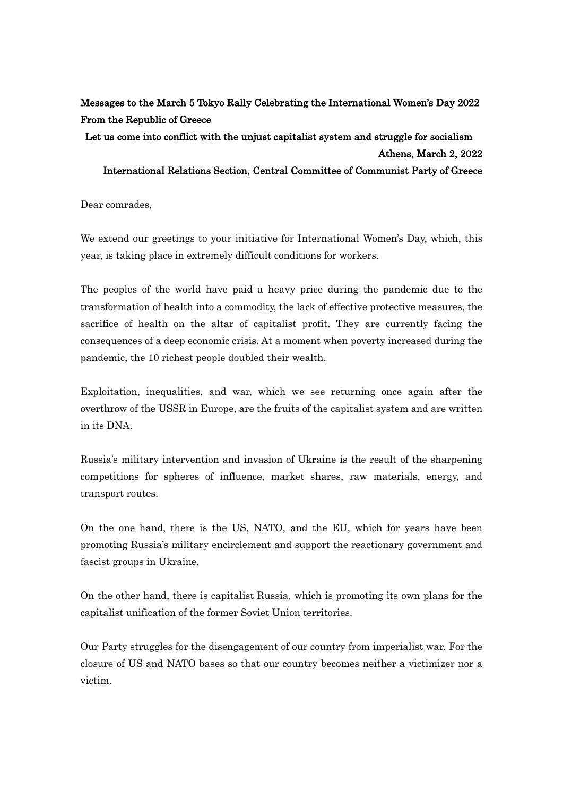## Messages to the March 5 Tokyo Rally Celebrating the International Women's Day 2022 From the Republic of Greece

## Let us come into conflict with the unjust capitalist system and struggle for socialism Athens, March 2, 2022 International Relations Section, Central Committee of Communist Party of Greece

Dear comrades,

We extend our greetings to your initiative for International Women's Day, which, this year, is taking place in extremely difficult conditions for workers.

The peoples of the world have paid a heavy price during the pandemic due to the transformation of health into a commodity, the lack of effective protective measures, the sacrifice of health on the altar of capitalist profit. They are currently facing the consequences of a deep economic crisis. At a moment when poverty increased during the pandemic, the 10 richest people doubled their wealth.

Exploitation, inequalities, and war, which we see returning once again after the overthrow of the USSR in Europe, are the fruits of the capitalist system and are written in its DNA.

Russia's military intervention and invasion of Ukraine is the result of the sharpening competitions for spheres of influence, market shares, raw materials, energy, and transport routes.

On the one hand, there is the US, NATO, and the EU, which for years have been promoting Russia's military encirclement and support the reactionary government and fascist groups in Ukraine.

On the other hand, there is capitalist Russia, which is promoting its own plans for the capitalist unification of the former Soviet Union territories.

Our Party struggles for the disengagement of our country from imperialist war. For the closure of US and NATO bases so that our country becomes neither a victimizer nor a victim.